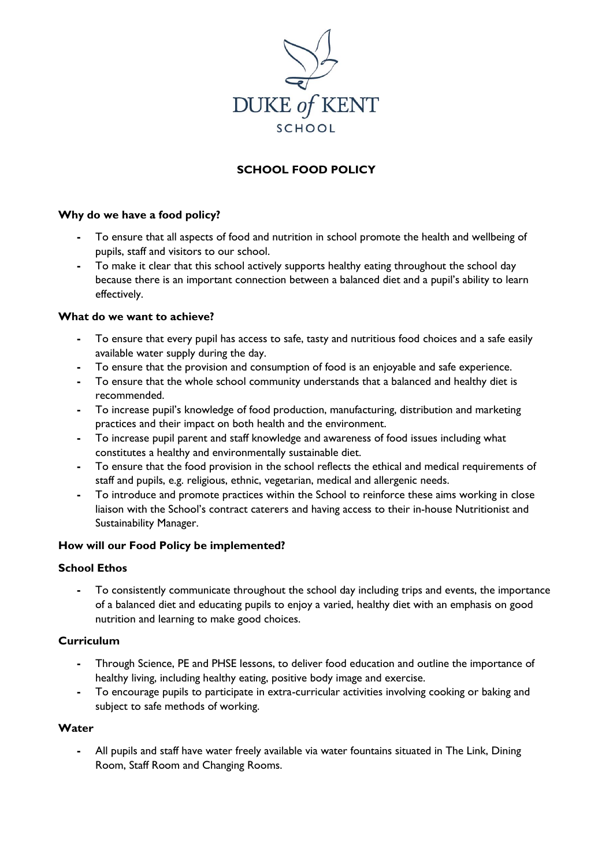

# **SCHOOL FOOD POLICY**

### **Why do we have a food policy?**

- **-** To ensure that all aspects of food and nutrition in school promote the health and wellbeing of pupils, staff and visitors to our school.
- **-** To make it clear that this school actively supports healthy eating throughout the school day because there is an important connection between a balanced diet and a pupil's ability to learn effectively.

### **What do we want to achieve?**

- **-** To ensure that every pupil has access to safe, tasty and nutritious food choices and a safe easily available water supply during the day.
- **-** To ensure that the provision and consumption of food is an enjoyable and safe experience.
- **-** To ensure that the whole school community understands that a balanced and healthy diet is recommended.
- **-** To increase pupil's knowledge of food production, manufacturing, distribution and marketing practices and their impact on both health and the environment.
- **-** To increase pupil parent and staff knowledge and awareness of food issues including what constitutes a healthy and environmentally sustainable diet.
- **-** To ensure that the food provision in the school reflects the ethical and medical requirements of staff and pupils, e.g. religious, ethnic, vegetarian, medical and allergenic needs.
- **-** To introduce and promote practices within the School to reinforce these aims working in close liaison with the School's contract caterers and having access to their in-house Nutritionist and Sustainability Manager.

## **How will our Food Policy be implemented?**

#### **School Ethos**

**-** To consistently communicate throughout the school day including trips and events, the importance of a balanced diet and educating pupils to enjoy a varied, healthy diet with an emphasis on good nutrition and learning to make good choices.

## **Curriculum**

- **-** Through Science, PE and PHSE lessons, to deliver food education and outline the importance of healthy living, including healthy eating, positive body image and exercise.
- **-** To encourage pupils to participate in extra-curricular activities involving cooking or baking and subject to safe methods of working.

#### **Water**

**-** All pupils and staff have water freely available via water fountains situated in The Link, Dining Room, Staff Room and Changing Rooms.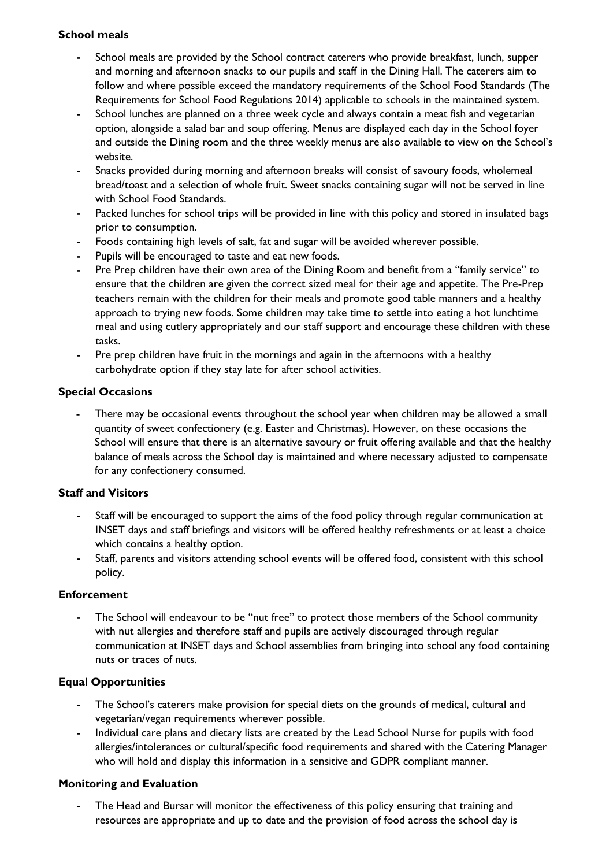## **School meals**

- **-** School meals are provided by the School contract caterers who provide breakfast, lunch, supper and morning and afternoon snacks to our pupils and staff in the Dining Hall. The caterers aim to follow and where possible exceed the mandatory requirements of the School Food Standards (The Requirements for School Food Regulations 2014) applicable to schools in the maintained system.
- **-** School lunches are planned on a three week cycle and always contain a meat fish and vegetarian option, alongside a salad bar and soup offering. Menus are displayed each day in the School foyer and outside the Dining room and the three weekly menus are also available to view on the School's website.
- **-** Snacks provided during morning and afternoon breaks will consist of savoury foods, wholemeal bread/toast and a selection of whole fruit. Sweet snacks containing sugar will not be served in line with School Food Standards.
- **-** Packed lunches for school trips will be provided in line with this policy and stored in insulated bags prior to consumption.
- **-** Foods containing high levels of salt, fat and sugar will be avoided wherever possible.
- **-** Pupils will be encouraged to taste and eat new foods.
- **-** Pre Prep children have their own area of the Dining Room and benefit from a "family service" to ensure that the children are given the correct sized meal for their age and appetite. The Pre-Prep teachers remain with the children for their meals and promote good table manners and a healthy approach to trying new foods. Some children may take time to settle into eating a hot lunchtime meal and using cutlery appropriately and our staff support and encourage these children with these tasks.
- **-** Pre prep children have fruit in the mornings and again in the afternoons with a healthy carbohydrate option if they stay late for after school activities.

## **Special Occasions**

There may be occasional events throughout the school year when children may be allowed a small quantity of sweet confectionery (e.g. Easter and Christmas). However, on these occasions the School will ensure that there is an alternative savoury or fruit offering available and that the healthy balance of meals across the School day is maintained and where necessary adjusted to compensate for any confectionery consumed.

## **Staff and Visitors**

- **-** Staff will be encouraged to support the aims of the food policy through regular communication at INSET days and staff briefings and visitors will be offered healthy refreshments or at least a choice which contains a healthy option.
- **-** Staff, parents and visitors attending school events will be offered food, consistent with this school policy.

## **Enforcement**

**-** The School will endeavour to be "nut free" to protect those members of the School community with nut allergies and therefore staff and pupils are actively discouraged through regular communication at INSET days and School assemblies from bringing into school any food containing nuts or traces of nuts.

## **Equal Opportunities**

- **-** The School's caterers make provision for special diets on the grounds of medical, cultural and vegetarian/vegan requirements wherever possible.
- **-** Individual care plans and dietary lists are created by the Lead School Nurse for pupils with food allergies/intolerances or cultural/specific food requirements and shared with the Catering Manager who will hold and display this information in a sensitive and GDPR compliant manner.

## **Monitoring and Evaluation**

**-** The Head and Bursar will monitor the effectiveness of this policy ensuring that training and resources are appropriate and up to date and the provision of food across the school day is